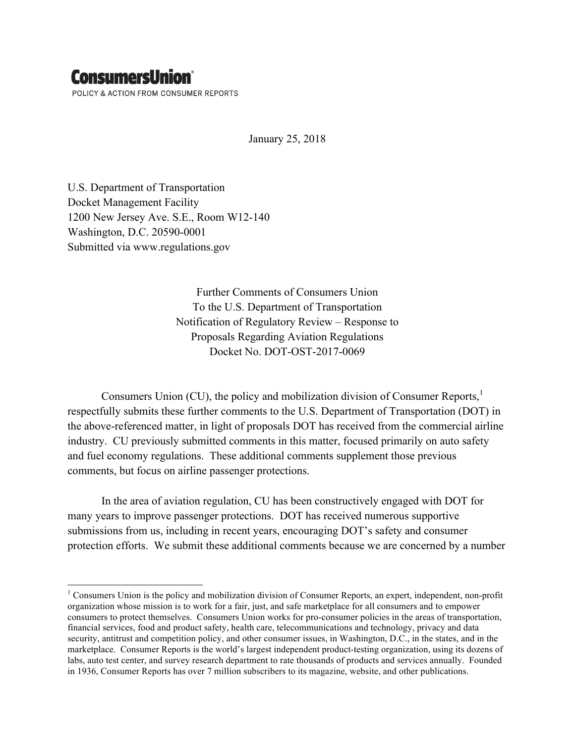## **ConsumersUnion®**

 

POLICY & ACTION FROM CONSUMER REPORTS

January 25, 2018

U.S. Department of Transportation Docket Management Facility 1200 New Jersey Ave. S.E., Room W12-140 Washington, D.C. 20590-0001 Submitted via www.regulations.gov

> Further Comments of Consumers Union To the U.S. Department of Transportation Notification of Regulatory Review – Response to Proposals Regarding Aviation Regulations Docket No. DOT-OST-2017-0069

Consumers Union (CU), the policy and mobilization division of Consumer Reports,<sup>1</sup> respectfully submits these further comments to the U.S. Department of Transportation (DOT) in the above-referenced matter, in light of proposals DOT has received from the commercial airline industry. CU previously submitted comments in this matter, focused primarily on auto safety and fuel economy regulations. These additional comments supplement those previous comments, but focus on airline passenger protections.

In the area of aviation regulation, CU has been constructively engaged with DOT for many years to improve passenger protections. DOT has received numerous supportive submissions from us, including in recent years, encouraging DOT's safety and consumer protection efforts. We submit these additional comments because we are concerned by a number

<sup>&</sup>lt;sup>1</sup> Consumers Union is the policy and mobilization division of Consumer Reports, an expert, independent, non-profit organization whose mission is to work for a fair, just, and safe marketplace for all consumers and to empower consumers to protect themselves. Consumers Union works for pro-consumer policies in the areas of transportation, financial services, food and product safety, health care, telecommunications and technology, privacy and data security, antitrust and competition policy, and other consumer issues, in Washington, D.C., in the states, and in the marketplace. Consumer Reports is the world's largest independent product-testing organization, using its dozens of labs, auto test center, and survey research department to rate thousands of products and services annually. Founded in 1936, Consumer Reports has over 7 million subscribers to its magazine, website, and other publications.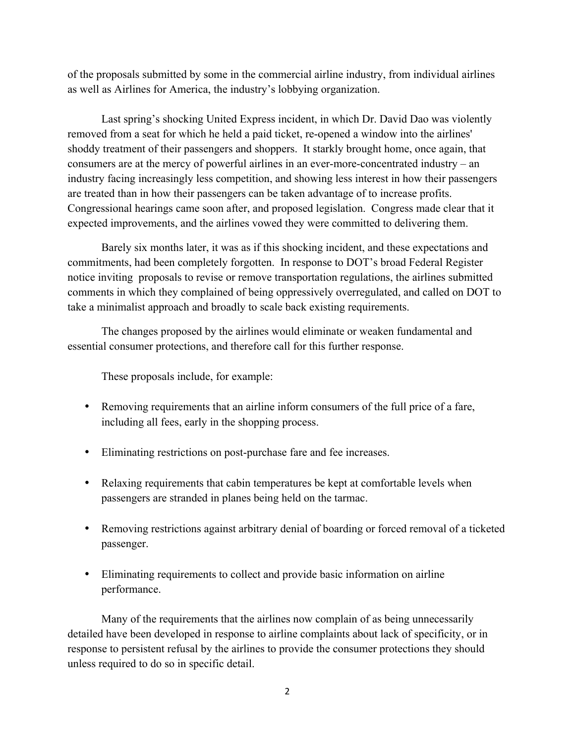of the proposals submitted by some in the commercial airline industry, from individual airlines as well as Airlines for America, the industry's lobbying organization.

Last spring's shocking United Express incident, in which Dr. David Dao was violently removed from a seat for which he held a paid ticket, re-opened a window into the airlines' shoddy treatment of their passengers and shoppers. It starkly brought home, once again, that consumers are at the mercy of powerful airlines in an ever-more-concentrated industry – an industry facing increasingly less competition, and showing less interest in how their passengers are treated than in how their passengers can be taken advantage of to increase profits. Congressional hearings came soon after, and proposed legislation. Congress made clear that it expected improvements, and the airlines vowed they were committed to delivering them.

Barely six months later, it was as if this shocking incident, and these expectations and commitments, had been completely forgotten. In response to DOT's broad Federal Register notice inviting proposals to revise or remove transportation regulations, the airlines submitted comments in which they complained of being oppressively overregulated, and called on DOT to take a minimalist approach and broadly to scale back existing requirements.

The changes proposed by the airlines would eliminate or weaken fundamental and essential consumer protections, and therefore call for this further response.

These proposals include, for example:

- Removing requirements that an airline inform consumers of the full price of a fare, including all fees, early in the shopping process.
- Eliminating restrictions on post-purchase fare and fee increases.
- Relaxing requirements that cabin temperatures be kept at comfortable levels when passengers are stranded in planes being held on the tarmac.
- Removing restrictions against arbitrary denial of boarding or forced removal of a ticketed passenger.
- Eliminating requirements to collect and provide basic information on airline performance.

Many of the requirements that the airlines now complain of as being unnecessarily detailed have been developed in response to airline complaints about lack of specificity, or in response to persistent refusal by the airlines to provide the consumer protections they should unless required to do so in specific detail.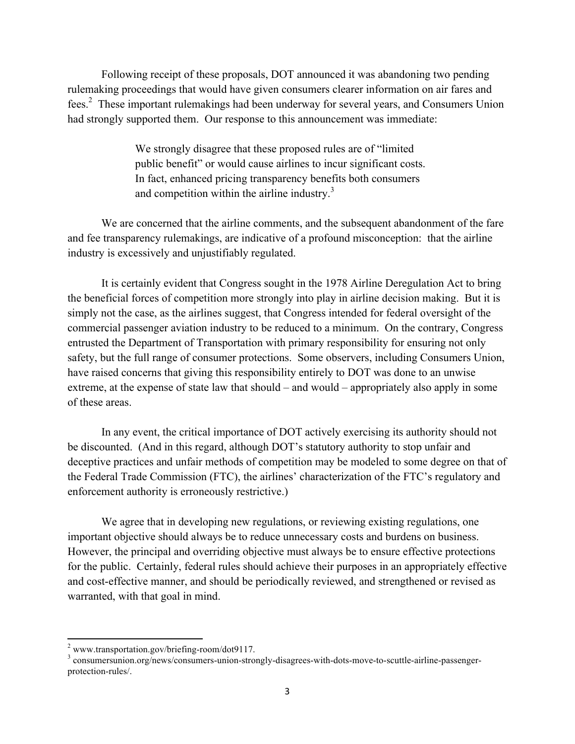Following receipt of these proposals, DOT announced it was abandoning two pending rulemaking proceedings that would have given consumers clearer information on air fares and fees.<sup>2</sup> These important rulemakings had been underway for several years, and Consumers Union had strongly supported them. Our response to this announcement was immediate:

> We strongly disagree that these proposed rules are of "limited public benefit" or would cause airlines to incur significant costs. In fact, enhanced pricing transparency benefits both consumers and competition within the airline industry.<sup>3</sup>

We are concerned that the airline comments, and the subsequent abandonment of the fare and fee transparency rulemakings, are indicative of a profound misconception: that the airline industry is excessively and unjustifiably regulated.

It is certainly evident that Congress sought in the 1978 Airline Deregulation Act to bring the beneficial forces of competition more strongly into play in airline decision making. But it is simply not the case, as the airlines suggest, that Congress intended for federal oversight of the commercial passenger aviation industry to be reduced to a minimum. On the contrary, Congress entrusted the Department of Transportation with primary responsibility for ensuring not only safety, but the full range of consumer protections. Some observers, including Consumers Union, have raised concerns that giving this responsibility entirely to DOT was done to an unwise extreme, at the expense of state law that should – and would – appropriately also apply in some of these areas.

In any event, the critical importance of DOT actively exercising its authority should not be discounted. (And in this regard, although DOT's statutory authority to stop unfair and deceptive practices and unfair methods of competition may be modeled to some degree on that of the Federal Trade Commission (FTC), the airlines' characterization of the FTC's regulatory and enforcement authority is erroneously restrictive.)

We agree that in developing new regulations, or reviewing existing regulations, one important objective should always be to reduce unnecessary costs and burdens on business. However, the principal and overriding objective must always be to ensure effective protections for the public. Certainly, federal rules should achieve their purposes in an appropriately effective and cost-effective manner, and should be periodically reviewed, and strengthened or revised as warranted, with that goal in mind.

 

 $\frac{2}{3}$  www.transportation.gov/briefing-room/dot9117.<br> $\frac{3}{3}$  consumersunion.org/news/consumers-union-strongly-disagrees-with-dots-move-to-scuttle-airline-passengerprotection-rules/.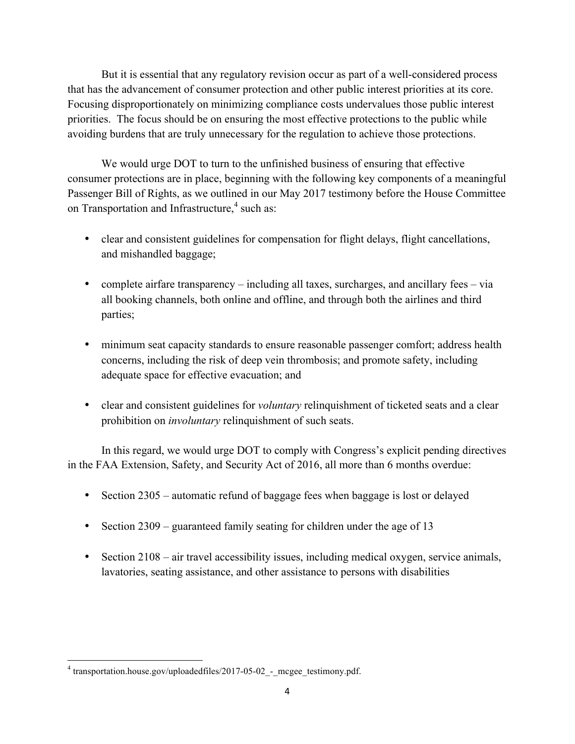But it is essential that any regulatory revision occur as part of a well-considered process that has the advancement of consumer protection and other public interest priorities at its core. Focusing disproportionately on minimizing compliance costs undervalues those public interest priorities. The focus should be on ensuring the most effective protections to the public while avoiding burdens that are truly unnecessary for the regulation to achieve those protections.

We would urge DOT to turn to the unfinished business of ensuring that effective consumer protections are in place, beginning with the following key components of a meaningful Passenger Bill of Rights, as we outlined in our May 2017 testimony before the House Committee on Transportation and Infrastructure,<sup>4</sup> such as:

- clear and consistent guidelines for compensation for flight delays, flight cancellations, and mishandled baggage;
- complete airfare transparency including all taxes, surcharges, and ancillary fees via all booking channels, both online and offline, and through both the airlines and third parties;
- minimum seat capacity standards to ensure reasonable passenger comfort; address health concerns, including the risk of deep vein thrombosis; and promote safety, including adequate space for effective evacuation; and
- clear and consistent guidelines for *voluntary* relinquishment of ticketed seats and a clear prohibition on *involuntary* relinquishment of such seats.

In this regard, we would urge DOT to comply with Congress's explicit pending directives in the FAA Extension, Safety, and Security Act of 2016, all more than 6 months overdue:

- Section 2305 automatic refund of baggage fees when baggage is lost or delayed
- Section 2309 guaranteed family seating for children under the age of 13
- Section 2108 air travel accessibility issues, including medical oxygen, service animals, lavatories, seating assistance, and other assistance to persons with disabilities

<u> 1989 - Johann Stein, fransk politik (d. 1989)</u>

<sup>4</sup> transportation.house.gov/uploadedfiles/2017-05-02\_-\_mcgee\_testimony.pdf.